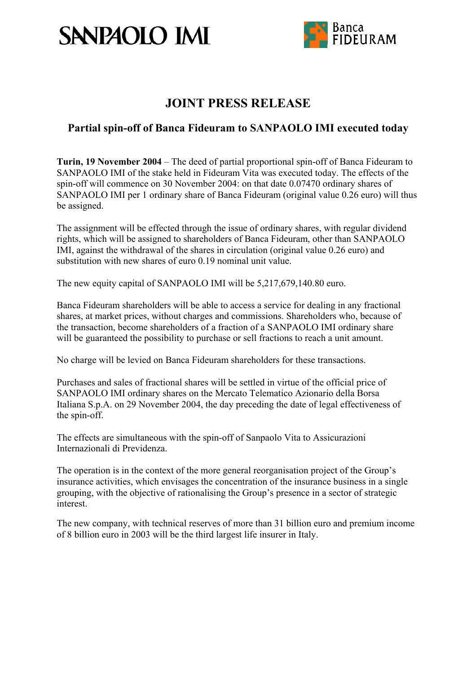



## **JOINT PRESS RELEASE**

## **Partial spin-off of Banca Fideuram to SANPAOLO IMI executed today**

**Turin, 19 November 2004** – The deed of partial proportional spin-off of Banca Fideuram to SANPAOLO IMI of the stake held in Fideuram Vita was executed today. The effects of the spin-off will commence on 30 November 2004: on that date 0.07470 ordinary shares of SANPAOLO IMI per 1 ordinary share of Banca Fideuram (original value 0.26 euro) will thus be assigned.

The assignment will be effected through the issue of ordinary shares, with regular dividend rights, which will be assigned to shareholders of Banca Fideuram, other than SANPAOLO IMI, against the withdrawal of the shares in circulation (original value 0.26 euro) and substitution with new shares of euro 0.19 nominal unit value.

The new equity capital of SANPAOLO IMI will be 5,217,679,140.80 euro.

Banca Fideuram shareholders will be able to access a service for dealing in any fractional shares, at market prices, without charges and commissions. Shareholders who, because of the transaction, become shareholders of a fraction of a SANPAOLO IMI ordinary share will be guaranteed the possibility to purchase or sell fractions to reach a unit amount.

No charge will be levied on Banca Fideuram shareholders for these transactions.

Purchases and sales of fractional shares will be settled in virtue of the official price of SANPAOLO IMI ordinary shares on the Mercato Telematico Azionario della Borsa Italiana S.p.A. on 29 November 2004, the day preceding the date of legal effectiveness of the spin-off.

The effects are simultaneous with the spin-off of Sanpaolo Vita to Assicurazioni Internazionali di Previdenza.

The operation is in the context of the more general reorganisation project of the Group's insurance activities, which envisages the concentration of the insurance business in a single grouping, with the objective of rationalising the Group's presence in a sector of strategic interest.

The new company, with technical reserves of more than 31 billion euro and premium income of 8 billion euro in 2003 will be the third largest life insurer in Italy.